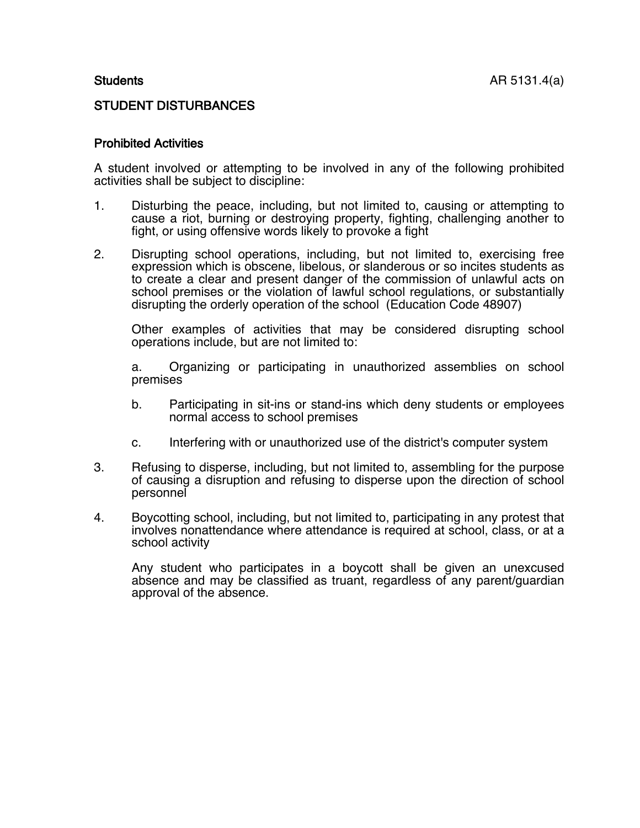## STUDENT DISTURBANCES

## Prohibited Activities

A student involved or attempting to be involved in any of the following prohibited activities shall be subject to discipline:

- 1. Disturbing the peace, including, but not limited to, causing or attempting to cause a riot, burning or destroying property, fighting, challenging another to fight, or using offensive words likely to provoke a fight
- 2. Disrupting school operations, including, but not limited to, exercising free expression which is obscene, libelous, or slanderous or so incites students as to create a clear and present danger of the commission of unlawful acts on school premises or the violation of lawful school regulations, or substantially disrupting the orderly operation of the school (Education Code 48907)

Other examples of activities that may be considered disrupting school operations include, but are not limited to:

a. Organizing or participating in unauthorized assemblies on school premises

- b. Participating in sit-ins or stand-ins which deny students or employees normal access to school premises
- c. Interfering with or unauthorized use of the district's computer system
- 3. Refusing to disperse, including, but not limited to, assembling for the purpose of causing a disruption and refusing to disperse upon the direction of school personnel
- 4. Boycotting school, including, but not limited to, participating in any protest that involves nonattendance where attendance is required at school, class, or at a school activity

Any student who participates in a boycott shall be given an unexcused absence and may be classified as truant, regardless of any parent/guardian approval of the absence.